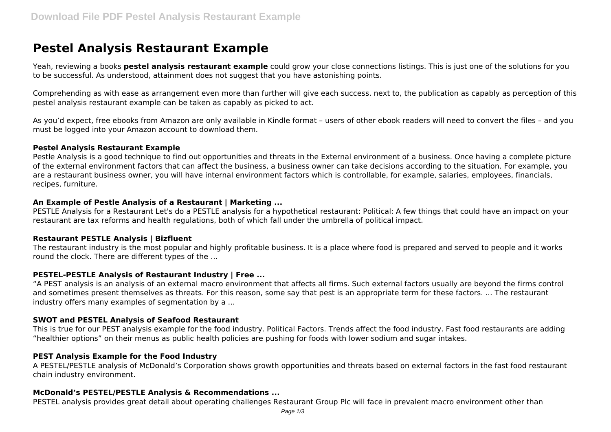# **Pestel Analysis Restaurant Example**

Yeah, reviewing a books **pestel analysis restaurant example** could grow your close connections listings. This is just one of the solutions for you to be successful. As understood, attainment does not suggest that you have astonishing points.

Comprehending as with ease as arrangement even more than further will give each success. next to, the publication as capably as perception of this pestel analysis restaurant example can be taken as capably as picked to act.

As you'd expect, free ebooks from Amazon are only available in Kindle format – users of other ebook readers will need to convert the files – and you must be logged into your Amazon account to download them.

#### **Pestel Analysis Restaurant Example**

Pestle Analysis is a good technique to find out opportunities and threats in the External environment of a business. Once having a complete picture of the external environment factors that can affect the business, a business owner can take decisions according to the situation. For example, you are a restaurant business owner, you will have internal environment factors which is controllable, for example, salaries, employees, financials, recipes, furniture.

#### **An Example of Pestle Analysis of a Restaurant | Marketing ...**

PESTLE Analysis for a Restaurant Let's do a PESTLE analysis for a hypothetical restaurant: Political: A few things that could have an impact on your restaurant are tax reforms and health regulations, both of which fall under the umbrella of political impact.

#### **Restaurant PESTLE Analysis | Bizfluent**

The restaurant industry is the most popular and highly profitable business. It is a place where food is prepared and served to people and it works round the clock. There are different types of the …

## **PESTEL-PESTLE Analysis of Restaurant Industry | Free ...**

"A PEST analysis is an analysis of an external macro environment that affects all firms. Such external factors usually are beyond the firms control and sometimes present themselves as threats. For this reason, some say that pest is an appropriate term for these factors. ... The restaurant industry offers many examples of segmentation by a ...

#### **SWOT and PESTEL Analysis of Seafood Restaurant**

This is true for our PEST analysis example for the food industry. Political Factors. Trends affect the food industry. Fast food restaurants are adding "healthier options" on their menus as public health policies are pushing for foods with lower sodium and sugar intakes.

#### **PEST Analysis Example for the Food Industry**

A PESTEL/PESTLE analysis of McDonald's Corporation shows growth opportunities and threats based on external factors in the fast food restaurant chain industry environment.

#### **McDonald's PESTEL/PESTLE Analysis & Recommendations ...**

PESTEL analysis provides great detail about operating challenges Restaurant Group Plc will face in prevalent macro environment other than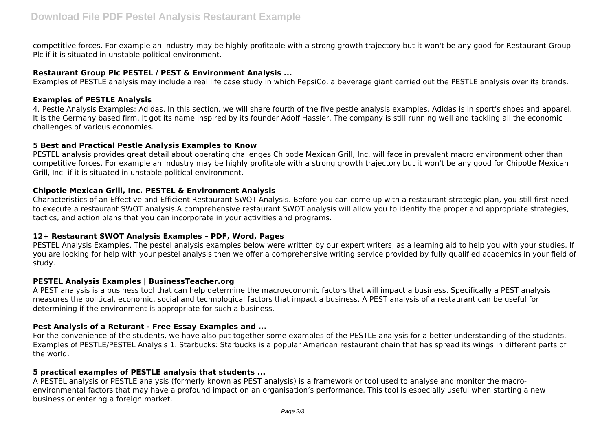competitive forces. For example an Industry may be highly profitable with a strong growth trajectory but it won't be any good for Restaurant Group Plc if it is situated in unstable political environment.

#### **Restaurant Group Plc PESTEL / PEST & Environment Analysis ...**

Examples of PESTLE analysis may include a real life case study in which PepsiCo, a beverage giant carried out the PESTLE analysis over its brands.

#### **Examples of PESTLE Analysis**

4. Pestle Analysis Examples: Adidas. In this section, we will share fourth of the five pestle analysis examples. Adidas is in sport's shoes and apparel. It is the Germany based firm. It got its name inspired by its founder Adolf Hassler. The company is still running well and tackling all the economic challenges of various economies.

#### **5 Best and Practical Pestle Analysis Examples to Know**

PESTEL analysis provides great detail about operating challenges Chipotle Mexican Grill, Inc. will face in prevalent macro environment other than competitive forces. For example an Industry may be highly profitable with a strong growth trajectory but it won't be any good for Chipotle Mexican Grill, Inc. if it is situated in unstable political environment.

## **Chipotle Mexican Grill, Inc. PESTEL & Environment Analysis**

Characteristics of an Effective and Efficient Restaurant SWOT Analysis. Before you can come up with a restaurant strategic plan, you still first need to execute a restaurant SWOT analysis.A comprehensive restaurant SWOT analysis will allow you to identify the proper and appropriate strategies, tactics, and action plans that you can incorporate in your activities and programs.

#### **12+ Restaurant SWOT Analysis Examples – PDF, Word, Pages**

PESTEL Analysis Examples. The pestel analysis examples below were written by our expert writers, as a learning aid to help you with your studies. If you are looking for help with your pestel analysis then we offer a comprehensive writing service provided by fully qualified academics in your field of study.

#### **PESTEL Analysis Examples | BusinessTeacher.org**

A PEST analysis is a business tool that can help determine the macroeconomic factors that will impact a business. Specifically a PEST analysis measures the political, economic, social and technological factors that impact a business. A PEST analysis of a restaurant can be useful for determining if the environment is appropriate for such a business.

#### **Pest Analysis of a Returant - Free Essay Examples and ...**

For the convenience of the students, we have also put together some examples of the PESTLE analysis for a better understanding of the students. Examples of PESTLE/PESTEL Analysis 1. Starbucks: Starbucks is a popular American restaurant chain that has spread its wings in different parts of the world.

#### **5 practical examples of PESTLE analysis that students ...**

A PESTEL analysis or PESTLE analysis (formerly known as PEST analysis) is a framework or tool used to analyse and monitor the macroenvironmental factors that may have a profound impact on an organisation's performance. This tool is especially useful when starting a new business or entering a foreign market.